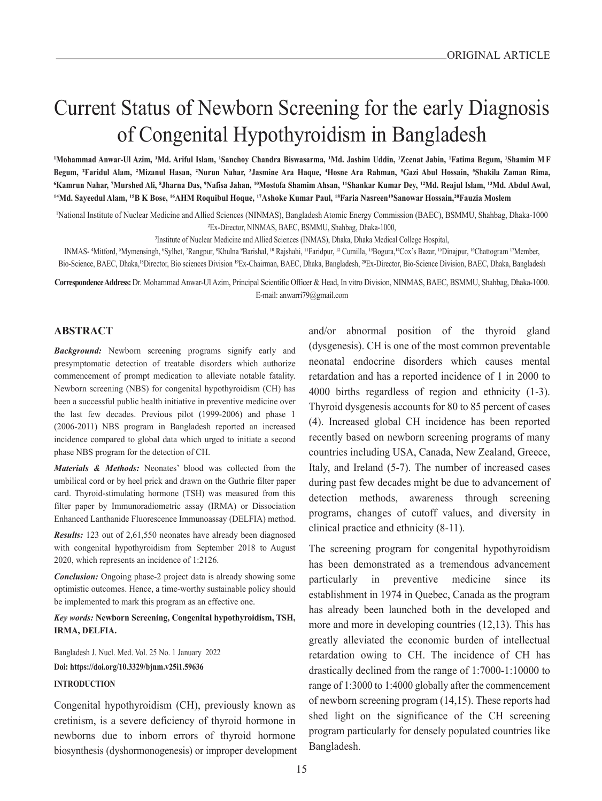# Current Status of Newborn Screening for the early Diagnosis of Congenital Hypothyroidism in Bangladesh

'Mohammad Anwar-Ul Azim, 'Md. Ariful Islam, 'Sanchoy Chandra Biswasarma, 'Md. Jashim Uddin, 'Zeenat Jabin, 'Fatima Begum, 'Shamim MF Begum, <sup>2</sup>Faridul Alam, <sup>2</sup>Mizanul Hasan, <sup>2</sup>Nurun Nahar, <sup>3</sup>Jasmine Ara Haque, 4Hosne Ara Rahman, <sup>5</sup>Gazi Abul Hossain, <sup>5</sup>Shakila Zaman Rima, 'Kamrun Nahar, 'Murshed Ali, \*Jharna Das, 'Nafisa Jahan, <sup>10</sup>Mostofa Shamim Ahsan, <sup>11</sup>Shankar Kumar Dey, <sup>12</sup>Md. Reajul Islam, <sup>13</sup>Md. Abdul Awal, **14Md. Sayeedul Alam, 15B K Bose, 16AHM Roquibul Hoque, 17Ashoke Kumar Paul, 18Faria Nasreen19Sanowar Hossain,20Fauzia Moslem**

1National Institute of Nuclear Medicine and Allied Sciences (NINMAS), Bangladesh Atomic Energy Commission (BAEC), BSMMU, Shahbag, Dhaka-1000 2Ex-Director, NINMAS, BAEC, BSMMU, Shahbag, Dhaka-1000,

3Institute of Nuclear Medicine and Allied Sciences (INMAS), Dhaka, Dhaka Medical College Hospital,

INMAS- 4Mitford, 5Mymensingh, 6Sylhet, 7Rangpur, 8Khulna 9Barishal, 10 Rajshahi, 11Faridpur, 12 Cumilla, 13Bogura,14Cox's Bazar, 15Dinajpur, 16Chattogram 17Member, Bio-Science, BAEC, Dhaka,<sup>18</sup>Director, Bio sciences Division <sup>19</sup>Ex-Chairman, BAEC, Dhaka, Bangladesh, <sup>20</sup>Ex-Director, Bio-Science Division, BAEC, Dhaka, Bangladesh

**Correspondence Address:** Dr. Mohammad Anwar-Ul Azim, Principal Scientific Officer & Head, In vitro Division, NINMAS, BAEC, BSMMU, Shahbag, Dhaka-1000. E-mail: anwarri79@gmail.com

#### **ABSTRACT**

*Background:* Newborn screening programs signify early and presymptomatic detection of treatable disorders which authorize commencement of prompt medication to alleviate notable fatality. Newborn screening (NBS) for congenital hypothyroidism (CH) has been a successful public health initiative in preventive medicine over the last few decades. Previous pilot (1999-2006) and phase 1 (2006-2011) NBS program in Bangladesh reported an increased incidence compared to global data which urged to initiate a second phase NBS program for the detection of CH.

*Materials & Methods:* Neonates' blood was collected from the umbilical cord or by heel prick and drawn on the Guthrie filter paper card. Thyroid-stimulating hormone (TSH) was measured from this filter paper by Immunoradiometric assay (IRMA) or Dissociation Enhanced Lanthanide Fluorescence Immunoassay (DELFIA) method.

*Results:* 123 out of 2,61,550 neonates have already been diagnosed with congenital hypothyroidism from September 2018 to August 2020, which represents an incidence of 1:2126.

*Conclusion:* Ongoing phase-2 project data is already showing some optimistic outcomes. Hence, a time-worthy sustainable policy should be implemented to mark this program as an effective one.

#### *Key words:* **Newborn Screening, Congenital hypothyroidism, TSH, IRMA, DELFIA.**

Bangladesh J. Nucl. Med. Vol. 25 No. 1 January 2022 **Doi: https://doi.org/10.3329/bjnm.v25i1.59636** 

# **INTRODUCTION**

Congenital hypothyroidism (CH), previously known as cretinism, is a severe deficiency of thyroid hormone in newborns due to inborn errors of thyroid hormone biosynthesis (dyshormonogenesis) or improper development and/or abnormal position of the thyroid gland (dysgenesis). CH is one of the most common preventable neonatal endocrine disorders which causes mental retardation and has a reported incidence of 1 in 2000 to 4000 births regardless of region and ethnicity (1-3). Thyroid dysgenesis accounts for 80 to 85 percent of cases (4). Increased global CH incidence has been reported recently based on newborn screening programs of many countries including USA, Canada, New Zealand, Greece, Italy, and Ireland (5-7). The number of increased cases during past few decades might be due to advancement of detection methods, awareness through screening programs, changes of cutoff values, and diversity in clinical practice and ethnicity (8-11).

The screening program for congenital hypothyroidism has been demonstrated as a tremendous advancement particularly in preventive medicine since its establishment in 1974 in Quebec, Canada as the program has already been launched both in the developed and more and more in developing countries (12,13). This has greatly alleviated the economic burden of intellectual retardation owing to CH. The incidence of CH has drastically declined from the range of 1:7000-1:10000 to range of 1:3000 to 1:4000 globally after the commencement of newborn screening program (14,15). These reports had shed light on the significance of the CH screening program particularly for densely populated countries like Bangladesh.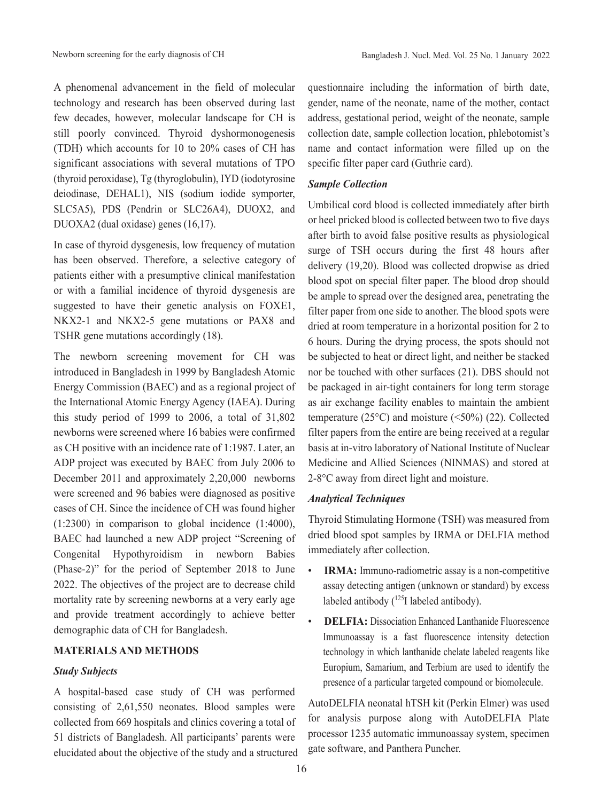A phenomenal advancement in the field of molecular technology and research has been observed during last few decades, however, molecular landscape for CH is still poorly convinced. Thyroid dyshormonogenesis (TDH) which accounts for 10 to 20% cases of CH has significant associations with several mutations of TPO (thyroid peroxidase), Tg (thyroglobulin), IYD (iodotyrosine deiodinase, DEHAL1), NIS (sodium iodide symporter, SLC5A5), PDS (Pendrin or SLC26A4), DUOX2, and DUOXA2 (dual oxidase) genes (16,17).

In case of thyroid dysgenesis, low frequency of mutation has been observed. Therefore, a selective category of patients either with a presumptive clinical manifestation or with a familial incidence of thyroid dysgenesis are suggested to have their genetic analysis on FOXE1, NKX2-1 and NKX2-5 gene mutations or PAX8 and TSHR gene mutations accordingly (18).

The newborn screening movement for CH was introduced in Bangladesh in 1999 by Bangladesh Atomic Energy Commission (BAEC) and as a regional project of the International Atomic Energy Agency (IAEA). During this study period of 1999 to 2006, a total of 31,802 newborns were screened where 16 babies were confirmed as CH positive with an incidence rate of 1:1987. Later, an ADP project was executed by BAEC from July 2006 to December 2011 and approximately 2,20,000 newborns were screened and 96 babies were diagnosed as positive cases of CH. Since the incidence of CH was found higher (1:2300) in comparison to global incidence (1:4000), BAEC had launched a new ADP project "Screening of Congenital Hypothyroidism in newborn Babies (Phase-2)" for the period of September 2018 to June 2022. The objectives of the project are to decrease child mortality rate by screening newborns at a very early age and provide treatment accordingly to achieve better demographic data of CH for Bangladesh.

## **MATERIALS AND METHODS**

#### *Study Subjects*

A hospital-based case study of CH was performed consisting of 2,61,550 neonates. Blood samples were collected from 669 hospitals and clinics covering a total of 51 districts of Bangladesh. All participants' parents were elucidated about the objective of the study and a structured questionnaire including the information of birth date, gender, name of the neonate, name of the mother, contact address, gestational period, weight of the neonate, sample collection date, sample collection location, phlebotomist's name and contact information were filled up on the specific filter paper card (Guthrie card).

#### *Sample Collection*

Umbilical cord blood is collected immediately after birth or heel pricked blood is collected between two to five days after birth to avoid false positive results as physiological surge of TSH occurs during the first 48 hours after delivery (19,20). Blood was collected dropwise as dried blood spot on special filter paper. The blood drop should be ample to spread over the designed area, penetrating the filter paper from one side to another. The blood spots were dried at room temperature in a horizontal position for 2 to 6 hours. During the drying process, the spots should not be subjected to heat or direct light, and neither be stacked nor be touched with other surfaces (21). DBS should not be packaged in air-tight containers for long term storage as air exchange facility enables to maintain the ambient temperature (25°C) and moisture (<50%) (22). Collected filter papers from the entire are being received at a regular basis at in-vitro laboratory of National Institute of Nuclear Medicine and Allied Sciences (NINMAS) and stored at 2-8°C away from direct light and moisture.

## *Analytical Techniques*

Thyroid Stimulating Hormone (TSH) was measured from dried blood spot samples by IRMA or DELFIA method immediately after collection.

- **IRMA:** Immuno-radiometric assay is a non-competitive assay detecting antigen (unknown or standard) by excess labeled antibody  $(^{125}I$  labeled antibody).
- **DELFIA:** Dissociation Enhanced Lanthanide Fluorescence Immunoassay is a fast fluorescence intensity detection technology in which lanthanide chelate labeled reagents like Europium, Samarium, and Terbium are used to identify the presence of a particular targeted compound or biomolecule.

AutoDELFIA neonatal hTSH kit (Perkin Elmer) was used for analysis purpose along with AutoDELFIA Plate processor 1235 automatic immunoassay system, specimen gate software, and Panthera Puncher.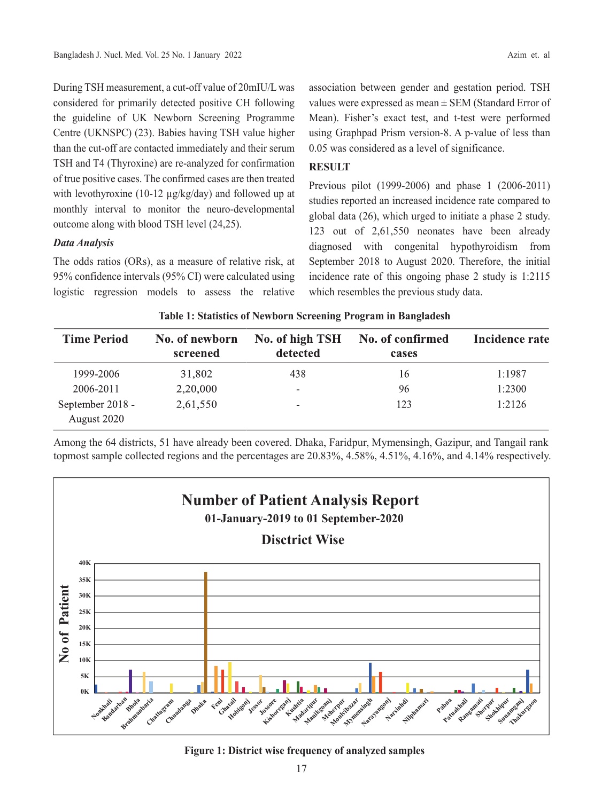During TSH measurement, a cut-off value of 20mIU/L was considered for primarily detected positive CH following the guideline of UK Newborn Screening Programme Centre (UKNSPC) (23). Babies having TSH value higher than the cut-off are contacted immediately and their serum TSH and T4 (Thyroxine) are re-analyzed for confirmation of true positive cases. The confirmed cases are then treated with levothyroxine (10-12 µg/kg/day) and followed up at monthly interval to monitor the neuro-developmental outcome along with blood TSH level (24,25).

# *Data Analysis*

The odds ratios (ORs), as a measure of relative risk, at 95% confidence intervals (95% CI) were calculated using logistic regression models to assess the relative association between gender and gestation period. TSH values were expressed as mean  $\pm$  SEM (Standard Error of Mean). Fisher's exact test, and t-test were performed using Graphpad Prism version-8. A p-value of less than 0.05 was considered as a level of significance.

# **RESULT**

Previous pilot (1999-2006) and phase 1 (2006-2011) studies reported an increased incidence rate compared to global data (26), which urged to initiate a phase 2 study. 123 out of 2,61,550 neonates have been already diagnosed with congenital hypothyroidism from September 2018 to August 2020. Therefore, the initial incidence rate of this ongoing phase 2 study is 1:2115 which resembles the previous study data.

| <b>Time Period</b>              | No. of newborn<br>screened | No. of high TSH<br>detected | No. of confirmed<br>cases | Incidence rate |
|---------------------------------|----------------------------|-----------------------------|---------------------------|----------------|
| 1999-2006                       | 31,802                     | 438                         | 16                        | 1:1987         |
| 2006-2011                       | 2,20,000                   | $\sim$                      | 96                        | 1:2300         |
| September 2018 -<br>August 2020 | 2,61,550                   | $\sim$                      | 123                       | 1:2126         |

**Table 1: Statistics of Newborn Screening Program in Bangladesh**

Among the 64 districts, 51 have already been covered. Dhaka, Faridpur, Mymensingh, Gazipur, and Tangail rank topmost sample collected regions and the percentages are 20.83%, 4.58%, 4.51%, 4.16%, and 4.14% respectively.



**Figure 1: District wise frequency of analyzed samples**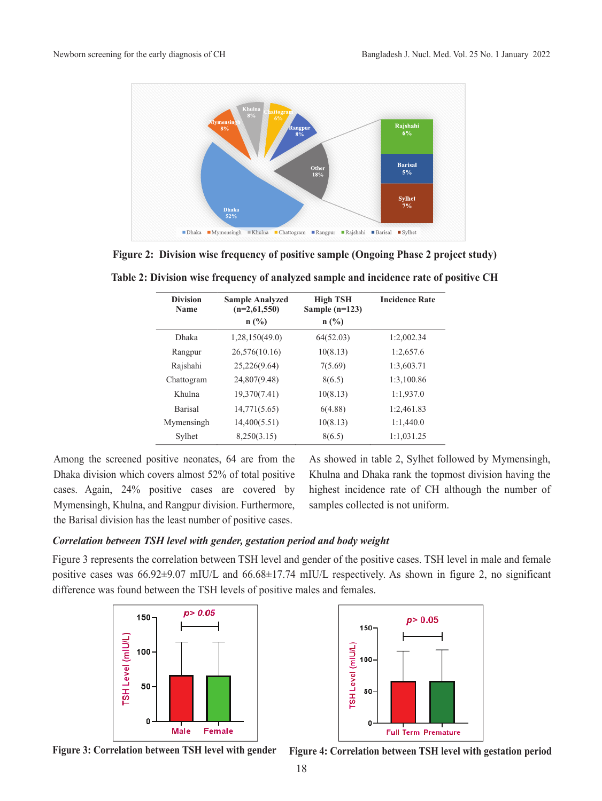

**Figure 2: Division wise frequency of positive sample (Ongoing Phase 2 project study)**

| <b>Division</b><br><b>Name</b> | <b>Sample Analyzed</b><br>$(n=2,61,550)$ | <b>High TSH</b><br>Sample $(n=123)$ | <b>Incidence Rate</b> |
|--------------------------------|------------------------------------------|-------------------------------------|-----------------------|
|                                | $n(^{0}/_{0})$                           | $n(^{0}/_{0})$                      |                       |
| <b>Dhaka</b>                   | 1,28,150(49.0)                           | 64(52.03)                           | 1:2,002.34            |
| Rangpur                        | 26,576(10.16)                            | 10(8.13)                            | 1:2,657.6             |
| Rajshahi                       | 25,226(9.64)                             | 7(5.69)                             | 1:3,603.71            |
| Chattogram                     | 24,807(9.48)                             | 8(6.5)                              | 1:3,100.86            |
| Khulna                         | 19,370(7.41)                             | 10(8.13)                            | 1:1,937.0             |
| <b>Barisal</b>                 | 14,771(5.65)                             | 6(4.88)                             | 1:2,461.83            |
| Mymensingh                     | 14,400(5.51)                             | 10(8.13)                            | 1:1,440.0             |
| Sylhet                         | 8,250(3.15)                              | 8(6.5)                              | 1:1,031.25            |

**Table 2: Division wise frequency of analyzed sample and incidence rate of positive CH**

Among the screened positive neonates, 64 are from the Dhaka division which covers almost 52% of total positive cases. Again, 24% positive cases are covered by Mymensingh, Khulna, and Rangpur division. Furthermore, the Barisal division has the least number of positive cases.

As showed in table 2, Sylhet followed by Mymensingh, Khulna and Dhaka rank the topmost division having the highest incidence rate of CH although the number of samples collected is not uniform.

# *Correlation between TSH level with gender, gestation period and body weight*

Figure 3 represents the correlation between TSH level and gender of the positive cases. TSH level in male and female positive cases was 66.92±9.07 mIU/L and 66.68±17.74 mIU/L respectively. As shown in figure 2, no significant difference was found between the TSH levels of positive males and females.





**Figure 3: Correlation between TSH level with gender Figure 4: Correlation between TSH level with gestation period**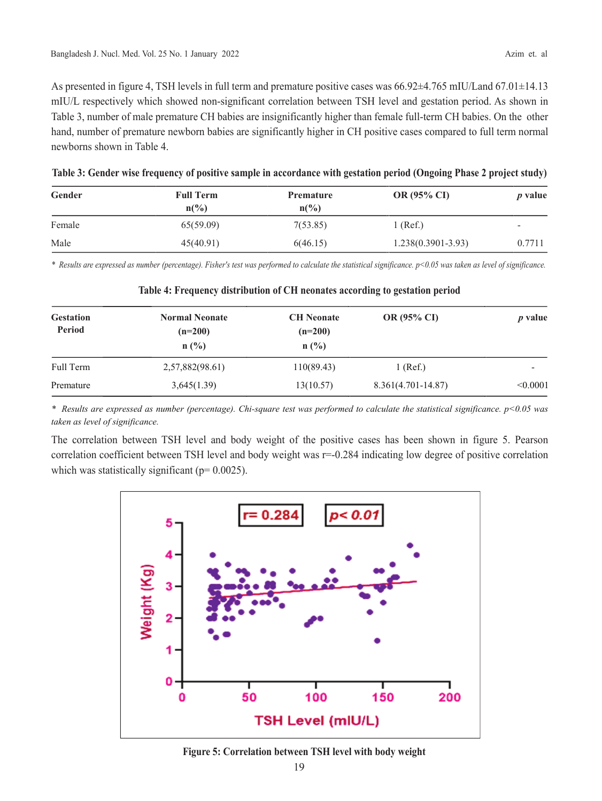As presented in figure 4, TSH levels in full term and premature positive cases was 66.92±4.765 mIU/Land 67.01±14.13 mIU/L respectively which showed non-significant correlation between TSH level and gestation period. As shown in Table 3, number of male premature CH babies are insignificantly higher than female full-term CH babies. On the other hand, number of premature newborn babies are significantly higher in CH positive cases compared to full term normal newborns shown in Table 4.

| Gender | <b>Full Term</b><br>$n\binom{0}{0}$ | <b>Premature</b><br>$n\binom{0}{0}$ | OR (95% CI)            | <i>p</i> value           |
|--------|-------------------------------------|-------------------------------------|------------------------|--------------------------|
| Female | 65(59.09)                           | 7(53.85)                            | 1 (Ref.)               | $\overline{\phantom{a}}$ |
| Male   | 45(40.91)                           | 6(46.15)                            | $1.238(0.3901 - 3.93)$ | 0.7711                   |

**Table 3: Gender wise frequency of positive sample in accordance with gestation period (Ongoing Phase 2 project study)**

*\* Results are expressed as number (percentage). Fisher's test was performed to calculate the statistical significance. p<0.05 was taken as level of significance.*

| <b>Gestation</b><br>Period | <b>Normal Neonate</b><br>$(n=200)$<br>$n(^{0}/_{0})$ | <b>CH</b> Neonate<br>$(n=200)$<br>$n$ (%) | <b>OR (95% CI)</b>   | <i>p</i> value |
|----------------------------|------------------------------------------------------|-------------------------------------------|----------------------|----------------|
| Full Term                  | 2,57,882(98.61)                                      | 110(89.43)                                | $1$ (Ref.)           |                |
| Premature                  | 3,645(1.39)                                          | 13(10.57)                                 | $8.361(4.701-14.87)$ | < 0.0001       |

# **Table 4: Frequency distribution of CH neonates according to gestation period**

*\* Results are expressed as number (percentage). Chi-square test was performed to calculate the statistical significance. p<0.05 was taken as level of significance.* 

The correlation between TSH level and body weight of the positive cases has been shown in figure 5. Pearson correlation coefficient between TSH level and body weight was r=-0.284 indicating low degree of positive correlation which was statistically significant ( $p= 0.0025$ ).



**Figure 5: Correlation between TSH level with body weight**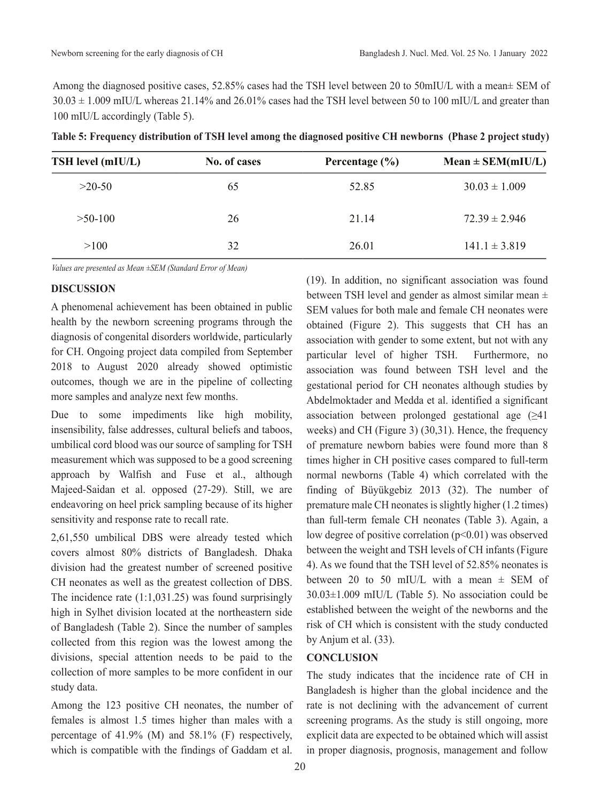Among the diagnosed positive cases, 52.85% cases had the TSH level between 20 to 50mIU/L with a mean± SEM of 30.03 ± 1.009 mIU/L whereas 21.14% and 26.01% cases had the TSH level between 50 to 100 mIU/L and greater than 100 mIU/L accordingly (Table 5).

| TSH level (mIU/L) | No. of cases | Percentage $(\% )$ | $Mean \pm SEM(mIU/L)$ |
|-------------------|--------------|--------------------|-----------------------|
| $>20-50$          | 65           | 52.85              | $30.03 \pm 1.009$     |
| $>50-100$         | 26           | 21.14              | $72.39 \pm 2.946$     |
| >100              | 32           | 26.01              | $141.1 \pm 3.819$     |

**Table 5: Frequency distribution of TSH level among the diagnosed positive CH newborns (Phase 2 project study)**

*Values are presented as Mean ±SEM (Standard Error of Mean)*

## **DISCUSSION**

A phenomenal achievement has been obtained in public health by the newborn screening programs through the diagnosis of congenital disorders worldwide, particularly for CH. Ongoing project data compiled from September 2018 to August 2020 already showed optimistic outcomes, though we are in the pipeline of collecting more samples and analyze next few months.

Due to some impediments like high mobility, insensibility, false addresses, cultural beliefs and taboos, umbilical cord blood was our source of sampling for TSH measurement which was supposed to be a good screening approach by Walfish and Fuse et al., although Majeed-Saidan et al. opposed (27-29). Still, we are endeavoring on heel prick sampling because of its higher sensitivity and response rate to recall rate.

2,61,550 umbilical DBS were already tested which covers almost 80% districts of Bangladesh. Dhaka division had the greatest number of screened positive CH neonates as well as the greatest collection of DBS. The incidence rate (1:1,031.25) was found surprisingly high in Sylhet division located at the northeastern side of Bangladesh (Table 2). Since the number of samples collected from this region was the lowest among the divisions, special attention needs to be paid to the collection of more samples to be more confident in our study data.

Among the 123 positive CH neonates, the number of females is almost 1.5 times higher than males with a percentage of 41.9% (M) and 58.1% (F) respectively, which is compatible with the findings of Gaddam et al.

(19). In addition, no significant association was found between TSH level and gender as almost similar mean  $\pm$ SEM values for both male and female CH neonates were obtained (Figure 2). This suggests that CH has an association with gender to some extent, but not with any particular level of higher TSH. Furthermore, no association was found between TSH level and the gestational period for CH neonates although studies by Abdelmoktader and Medda et al. identified a significant association between prolonged gestational age  $(≥41)$ weeks) and CH (Figure 3) (30,31). Hence, the frequency of premature newborn babies were found more than 8 times higher in CH positive cases compared to full-term normal newborns (Table 4) which correlated with the finding of Büyükgebiz 2013 (32). The number of premature male CH neonates is slightly higher (1.2 times) than full-term female CH neonates (Table 3). Again, a low degree of positive correlation  $(p<0.01)$  was observed between the weight and TSH levels of CH infants (Figure 4). As we found that the TSH level of 52.85% neonates is between 20 to 50 mIU/L with a mean  $\pm$  SEM of 30.03±1.009 mIU/L (Table 5). No association could be established between the weight of the newborns and the risk of CH which is consistent with the study conducted by Anjum et al. (33).

# **CONCLUSION**

The study indicates that the incidence rate of CH in Bangladesh is higher than the global incidence and the rate is not declining with the advancement of current screening programs. As the study is still ongoing, more explicit data are expected to be obtained which will assist in proper diagnosis, prognosis, management and follow